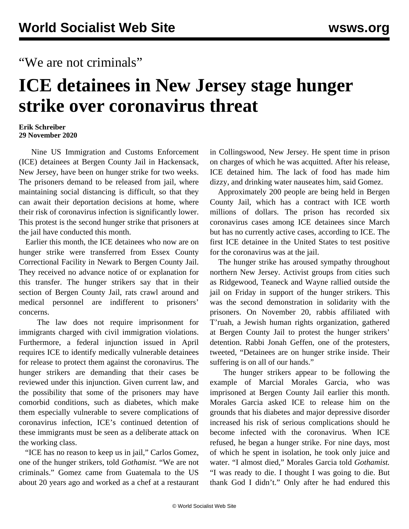## "We are not criminals"

## **ICE detainees in New Jersey stage hunger strike over coronavirus threat**

## **Erik Schreiber 29 November 2020**

 Nine US Immigration and Customs Enforcement (ICE) detainees at Bergen County Jail in Hackensack, New Jersey, have been on hunger strike for two weeks. The prisoners demand to be released from jail, where maintaining social distancing is difficult, so that they can await their deportation decisions at home, where their risk of coronavirus infection is significantly lower. This protest is the second hunger strike that prisoners at the jail have conducted this month.

 Earlier this month, the ICE detainees who now are on hunger strike were transferred from Essex County Correctional Facility in Newark to Bergen County Jail. They received no advance notice of or explanation for this transfer. The hunger strikers say that in their section of Bergen County Jail, rats crawl around and medical personnel are indifferent to prisoners' concerns.

 The law does not require imprisonment for immigrants charged with civil immigration violations. Furthermore, a federal injunction issued in April requires ICE to identify medically vulnerable detainees for release to protect them against the coronavirus. The hunger strikers are demanding that their cases be reviewed under this injunction. Given current law, and the possibility that some of the prisoners may have comorbid conditions, such as diabetes, which make them especially vulnerable to severe complications of coronavirus infection, ICE's continued detention of these immigrants must be seen as a deliberate attack on the working class.

 "ICE has no reason to keep us in jail," Carlos Gomez, one of the hunger strikers, told *Gothamist.* "We are not criminals." Gomez came from Guatemala to the US about 20 years ago and worked as a chef at a restaurant in Collingswood, New Jersey. He spent time in prison on charges of which he was acquitted. After his release, ICE detained him. The lack of food has made him dizzy, and drinking water nauseates him, said Gomez.

 Approximately 200 people are being held in Bergen County Jail, which has a contract with ICE worth millions of dollars. The prison has recorded six coronavirus cases among ICE detainees since March but has no currently active cases, according to ICE. The [first](/en/articles/2020/03/26/berg-m26.html) ICE detainee in the United States to test positive for the coronavirus was at the jail.

 The hunger strike has aroused sympathy throughout northern New Jersey. Activist groups from cities such as Ridgewood, Teaneck and Wayne rallied outside the jail on Friday in support of the hunger strikers. This was the second demonstration in solidarity with the prisoners. On November 20, rabbis affiliated with T'ruah, a Jewish human rights organization, gathered at Bergen County Jail to protest the hunger strikers' detention. Rabbi Jonah Geffen, one of the protesters, tweeted, "Detainees are on hunger strike inside. Their suffering is on all of our hands."

 The hunger strikers appear to be following the example of Marcial Morales Garcia, who was imprisoned at Bergen County Jail earlier this month. Morales Garcia asked ICE to release him on the grounds that his diabetes and major depressive disorder increased his risk of serious complications should he become infected with the coronavirus. When ICE refused, he began a hunger strike. For nine days, most of which he spent in isolation, he took only juice and water. "I almost died," Morales Garcia told *Gothamist.* "I was ready to die. I thought I was going to die. But thank God I didn't." Only after he had endured this